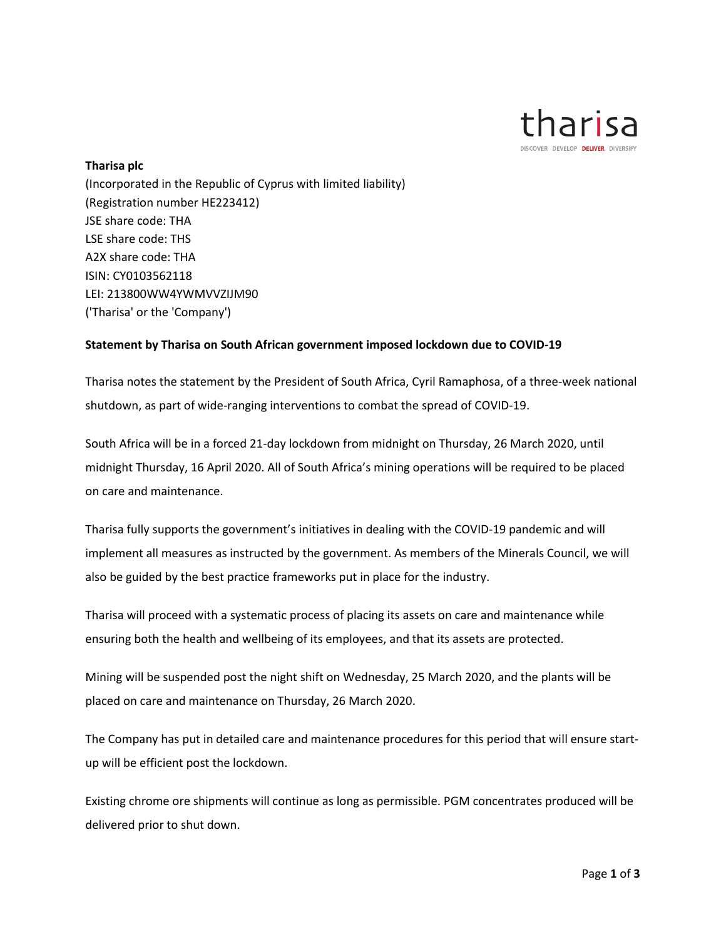

## **Tharisa plc**

(Incorporated in the Republic of Cyprus with limited liability) (Registration number HE223412) JSE share code: THA LSE share code: THS A2X share code: THA ISIN: CY0103562118 LEI: 213800WW4YWMVVZIJM90 ('Tharisa' or the 'Company')

## **Statement by Tharisa on South African government imposed lockdown due to COVID-19**

Tharisa notes the statement by the President of South Africa, Cyril Ramaphosa, of a three-week national shutdown, as part of wide-ranging interventions to combat the spread of COVID-19.

South Africa will be in a forced 21-day lockdown from midnight on Thursday, 26 March 2020, until midnight Thursday, 16 April 2020. All of South Africa's mining operations will be required to be placed on care and maintenance.

Tharisa fully supports the government's initiatives in dealing with the COVID-19 pandemic and will implement all measures as instructed by the government. As members of the Minerals Council, we will also be guided by the best practice frameworks put in place for the industry.

Tharisa will proceed with a systematic process of placing its assets on care and maintenance while ensuring both the health and wellbeing of its employees, and that its assets are protected.

Mining will be suspended post the night shift on Wednesday, 25 March 2020, and the plants will be placed on care and maintenance on Thursday, 26 March 2020.

The Company has put in detailed care and maintenance procedures for this period that will ensure startup will be efficient post the lockdown.

Existing chrome ore shipments will continue as long as permissible. PGM concentrates produced will be delivered prior to shut down.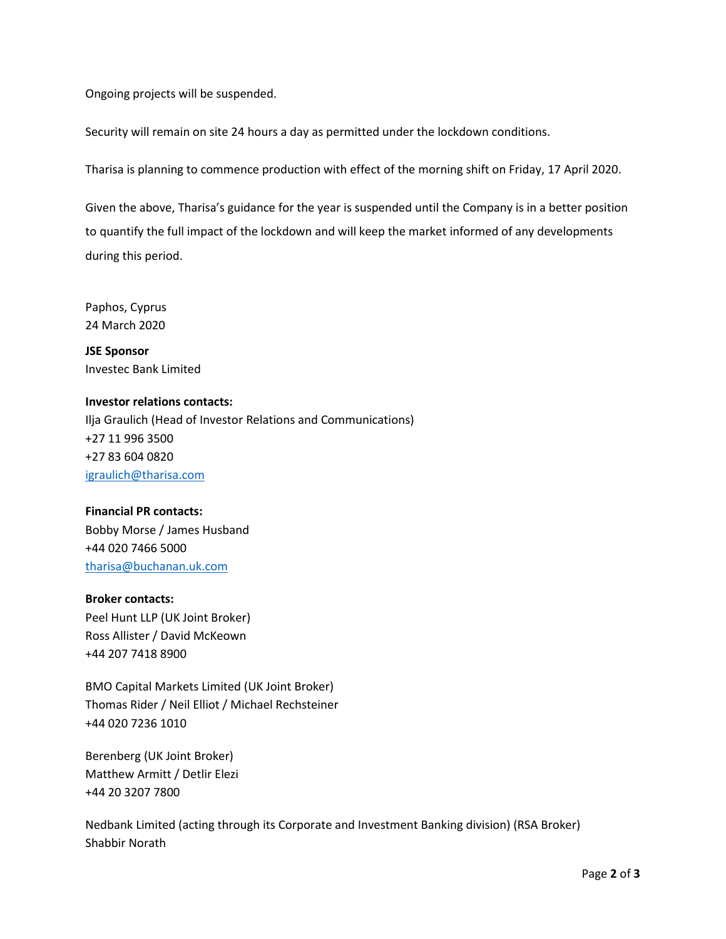Ongoing projects will be suspended.

Security will remain on site 24 hours a day as permitted under the lockdown conditions.

Tharisa is planning to commence production with effect of the morning shift on Friday, 17 April 2020.

Given the above, Tharisa's guidance for the year is suspended until the Company is in a better position to quantify the full impact of the lockdown and will keep the market informed of any developments during this period.

Paphos, Cyprus 24 March 2020

**JSE Sponsor** Investec Bank Limited

**Investor relations contacts:** Ilja Graulich (Head of Investor Relations and Communications) +27 11 996 3500 +27 83 604 0820 [igraulich@tharisa.com](mailto:igraulich@tharisa.com)

## **Financial PR contacts:** Bobby Morse / James Husband +44 020 7466 5000 [tharisa@buchanan.uk.com](mailto:tharisa@buchanan.uk.com)

## **Broker contacts:**

Peel Hunt LLP (UK Joint Broker) Ross Allister / David McKeown +44 207 7418 8900

BMO Capital Markets Limited (UK Joint Broker) Thomas Rider / Neil Elliot / Michael Rechsteiner +44 020 7236 1010

Berenberg (UK Joint Broker) Matthew Armitt / Detlir Elezi +44 20 3207 7800

Nedbank Limited (acting through its Corporate and Investment Banking division) (RSA Broker) Shabbir Norath